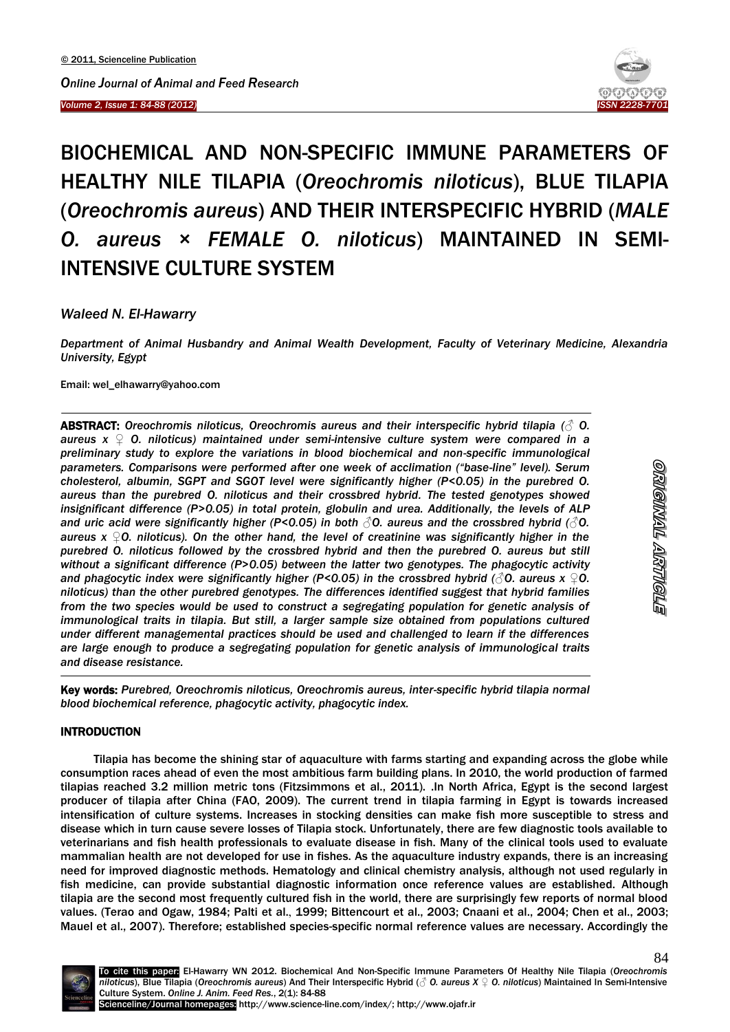*Volume 2, Issue 1: 84-88 (2012)* 



# BIOCHEMICAL AND NON-SPECIFIC IMMUNE PARAMETERS OF HEALTHY NILE TILAPIA (*Oreochromis niloticus*), BLUE TILAPIA (*Oreochromis aureus*) AND THEIR INTERSPECIFIC HYBRID (*MALE O. aureus × FEMALE O. niloticus*) MAINTAINED IN SEMI-INTENSIVE CULTURE SYSTEM

*Waleed N. El-Hawarry*

*Department of Animal Husbandry and Animal Wealth Development, Faculty of Veterinary Medicine, Alexandria University, Egypt*

Email: wel\_elhawarry@yahoo.com

1

ABSTRACT: *Oreochromis niloticus, Oreochromis aureus and their interspecific hybrid tilapia (♂ O. aureus x ♀ O. niloticus) maintained under semi-intensive culture system were compared in a preliminary study to explore the variations in blood biochemical and non-specific immunological parameters. Comparisons were performed after one week of acclimation ("base-line" level). Serum cholesterol, albumin, SGPT and SGOT level were significantly higher (P<0.05) in the purebred O. aureus than the purebred O. niloticus and their crossbred hybrid. The tested genotypes showed insignificant difference (P>0.05) in total protein, globulin and urea. Additionally, the levels of ALP and uric acid were significantly higher (P<0.05) in both ♂O. aureus and the crossbred hybrid (♂O. aureus x ♀O. niloticus). On the other hand, the level of creatinine was significantly higher in the purebred O. niloticus followed by the crossbred hybrid and then the purebred O. aureus but still without a significant difference (P>0.05) between the latter two genotypes. The phagocytic activity and phagocytic index were significantly higher (P<0.05) in the crossbred hybrid (√O. aureus x*   $\varphi$ 0. *niloticus) than the other purebred genotypes. The differences identified suggest that hybrid families from the two species would be used to construct a segregating population for genetic analysis of immunological traits in tilapia. But still, a larger sample size obtained from populations cultured under different managemental practices should be used and challenged to learn if the differences are large enough to produce a segregating population for genetic analysis of immunological traits and disease resistance.*

Key words: *Purebred, Oreochromis niloticus, Oreochromis aureus, inter-specific hybrid tilapia normal blood biochemical reference, phagocytic activity, phagocytic index.*

# INTRODUCTION

-

Tilapia has become the shining star of aquaculture with farms starting and expanding across the globe while consumption races ahead of even the most ambitious farm building plans. In 2010, the world production of farmed tilapias reached 3.2 million metric tons (Fitzsimmons et al., 2011). .In North Africa, Egypt is the second largest producer of tilapia after China (FAO, 2009). The current trend in tilapia farming in Egypt is towards increased intensification of culture systems. Increases in stocking densities can make fish more susceptible to stress and disease which in turn cause severe losses of Tilapia stock. Unfortunately, there are few diagnostic tools available to veterinarians and fish health professionals to evaluate disease in fish. Many of the clinical tools used to evaluate mammalian health are not developed for use in fishes. As the aquaculture industry expands, there is an increasing need for improved diagnostic methods. Hematology and clinical chemistry analysis, although not used regularly in fish medicine, can provide substantial diagnostic information once reference values are established. Although tilapia are the second most frequently cultured fish in the world, there are surprisingly few reports of normal blood values. (Terao and Ogaw, 1984; Palti et al., 1999; Bittencourt et al., 2003; Cnaani et al., 2004; Chen et al., 2003; Mauel et al., 2007). Therefore; established species-specific normal reference values are necessary. Accordingly the

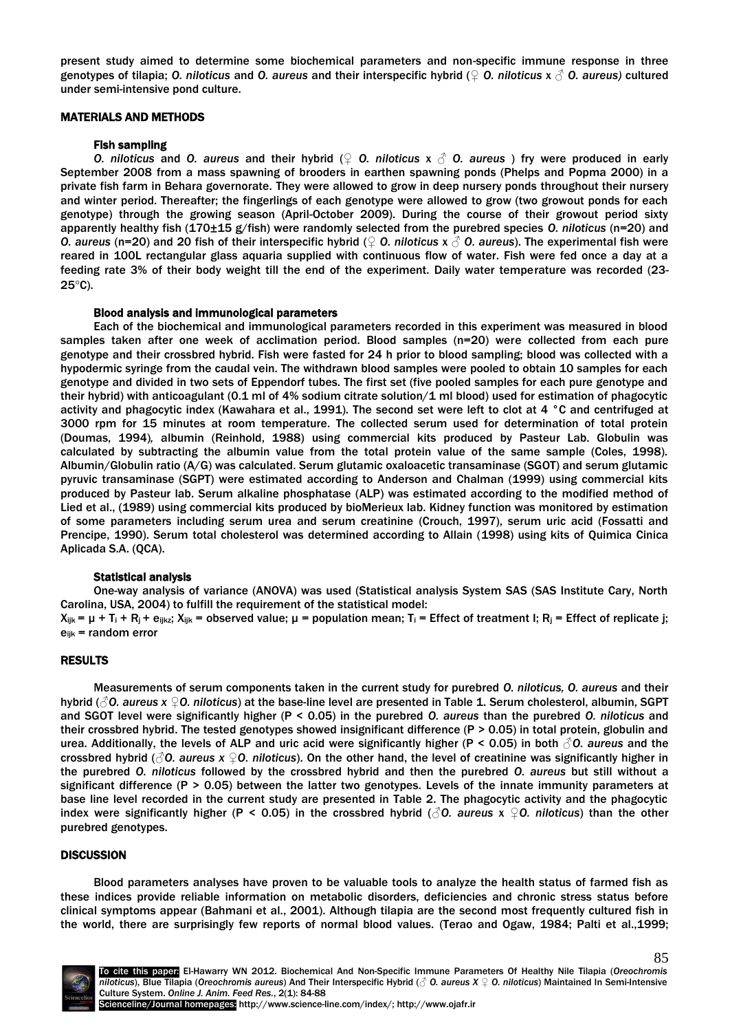present study aimed to determine some biochemical parameters and non-specific immune response in three genotypes of tilapia; *O. niloticus* and *O. aureus* and their interspecific hybrid (♀ *O. niloticus* x ♂ *O. aureus)* cultured under semi-intensive pond culture.

## MATERIALS AND METHODS

## Fish sampling

*O. niloticus* and *O. aureus* and their hybrid (♀ *O. niloticus* x ♂ *O. aureus* ) fry were produced in early September 2008 from a mass spawning of brooders in earthen spawning ponds (Phelps and Popma 2000) in a private fish farm in Behara governorate. They were allowed to grow in deep nursery ponds throughout their nursery and winter period. Thereafter; the fingerlings of each genotype were allowed to grow (two growout ponds for each genotype) through the growing season (April-October 2009). During the course of their growout period sixty apparently healthy fish (170±15 g/fish) were randomly selected from the purebred species *O. niloticus* (n=20) and *O. aureus* (n=20) and 20 fish of their interspecific hybrid (♀ *O. niloticus* x ♂ *O. aureus*). The experimental fish were reared in 100L rectangular glass aquaria supplied with continuous flow of water. Fish were fed once a day at a feeding rate 3% of their body weight till the end of the experiment. Daily water temperature was recorded (23-  $25^{\circ}$ C).

#### Blood analysis and immunological parameters

Each of the biochemical and immunological parameters recorded in this experiment was measured in blood samples taken after one week of acclimation period. Blood samples (n=20) were collected from each pure genotype and their crossbred hybrid. Fish were fasted for 24 h prior to blood sampling; blood was collected with a hypodermic syringe from the caudal vein. The withdrawn blood samples were pooled to obtain 10 samples for each genotype and divided in two sets of Eppendorf tubes. The first set (five pooled samples for each pure genotype and their hybrid) with anticoagulant (0.1 ml of 4% sodium citrate solution/1 ml blood) used for estimation of phagocytic activity and phagocytic index (Kawahara et al., 1991). The second set were left to clot at 4 °C and centrifuged at 3000 rpm for 15 minutes at room temperature. The collected serum used for determination of total protein (Doumas, 1994)*,* albumin (Reinhold, 1988) using commercial kits produced by Pasteur Lab. Globulin was calculated by subtracting the albumin value from the total protein value of the same sample (Coles, 1998). Albumin/Globulin ratio (A/G) was calculated. Serum glutamic oxaloacetic transaminase (SGOT) and serum glutamic pyruvic transaminase (SGPT) were estimated according to Anderson and Chalman (1999) using commercial kits produced by Pasteur lab. Serum alkaline phosphatase (ALP) was estimated according to the modified method of Lied et al., (1989) using commercial kits produced by bioMerieux lab. Kidney function was monitored by estimation of some parameters including serum urea and serum creatinine (Crouch, 1997), serum uric acid (Fossatti and Prencipe, 1990). Serum total cholesterol was determined according to Allain (1998) using kits of Quimica Cinica Aplicada S.A. (QCA).

#### Statistical analysis

One-way analysis of variance (ANOVA) was used (Statistical analysis System SAS (SAS Institute Cary, North Carolina, USA, 2004) to fulfill the requirement of the statistical model:

 $X_{ijk} = \mu + T_i + R_i + e_{ijkz}$ ;  $X_{ijk}$  = observed value;  $\mu$  = population mean;  $T_i$  = Effect of treatment I;  $R_i$  = Effect of replicate j;  $e_{ijk}$  = random error

#### RESULTS

Measurements of serum components taken in the current study for purebred *O. niloticus, O. aureus* and their hybrid (*♂O. aureus x ♀O. niloticus*) at the base-line level are presented in Table 1. Serum cholesterol, albumin, SGPT and SGOT level were significantly higher (P < 0.05) in the purebred *O. aureus* than the purebred *O. niloticus* and their crossbred hybrid. The tested genotypes showed insignificant difference (P > 0.05) in total protein, globulin and urea. Additionally, the levels of ALP and uric acid were significantly higher (P < 0.05) in both ♂*O. aureus* and the crossbred hybrid (*♂O. aureus x ♀O. niloticus*). On the other hand, the level of creatinine was significantly higher in the purebred *O. niloticus* followed by the crossbred hybrid and then the purebred *O. aureus* but still without a significant difference (P > 0.05) between the latter two genotypes. Levels of the innate immunity parameters at base line level recorded in the current study are presented in Table 2. The phagocytic activity and the phagocytic index were significantly higher (P < 0.05) in the crossbred hybrid (*♂O. aureus* x *♀O. niloticus*) than the other purebred genotypes.

# **DISCUSSION**

Blood parameters analyses have proven to be valuable tools to analyze the health status of farmed fish as these indices provide reliable information on metabolic disorders, deficiencies and chronic stress status before clinical symptoms appear [\(Bahmani et al., 2001\)](http://onlinelibrary.wiley.com/doi/10.1111/j.1439-0426.2010.01565.x/full#b6). Although tilapia are the second most frequently cultured fish in the world, there are surprisingly few reports of normal blood values. (Terao and Ogaw, 1984; Palti et al.,1999;



85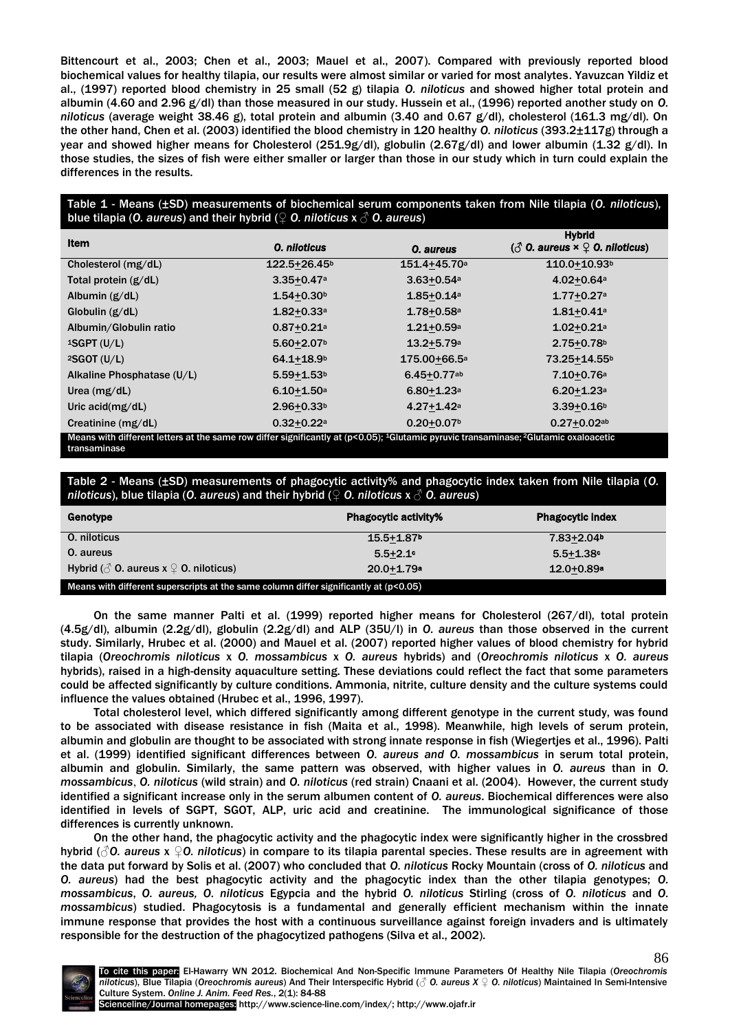Bittencourt et al., 2003; Chen et al., 2003; Mauel et al., 2007). Compared with previously reported blood biochemical values for healthy tilapia, our results were almost similar or varied for most analytes. Yavuzcan Yildiz et al., (1997) reported blood chemistry in 25 small (52 g) tilapia *O. niloticus* and showed higher total protein and albumin (4.60 and 2.96 g/dl) than those measured in our study. Hussein et al., (1996) reported another study on *O. niloticus* (average weight 38.46 g), total protein and albumin (3.40 and 0.67 g/dl), cholesterol (161.3 mg/dl). On the other hand, Chen et al. (2003) identified the blood chemistry in 120 healthy *O. niloticus* (393.2±117g) through a year and showed higher means for Cholesterol (251.9g/dl), globulin (2.67g/dl) and lower albumin (1.32 g/dl). In those studies, the sizes of fish were either smaller or larger than those in our study which in turn could explain the differences in the results.

# Table 1 - Means (±SD) measurements of biochemical serum components taken from Nile tilapia (*O. niloticus*), blue tilapia (*O. aureus*) and their hybrid (♀ *O. niloticus* x ♂ *O. aureus*)

| <b>Item</b>                                                                                                                                                  | <b>O.</b> niloticus        | O. aureus                  | <b>Hybrid</b><br>$\langle \hat{\mathcal{S}}$ O. aureus $x \hat{\mathcal{Q}}$ O. niloticus) |  |
|--------------------------------------------------------------------------------------------------------------------------------------------------------------|----------------------------|----------------------------|--------------------------------------------------------------------------------------------|--|
| Cholesterol (mg/dL)                                                                                                                                          | 122.5+26.45 <sup>b</sup>   | 151.4+45.70a               | 110.0+10.93b                                                                               |  |
| Total protein $(g/dL)$                                                                                                                                       | $3.35 + 0.47a$             | $3.63 + 0.54a$             | $4.02 + 0.64a$                                                                             |  |
| Albumin $(g/dL)$                                                                                                                                             | $1.54 + 0.30b$             | $1.85 + 0.14a$             | $1.77 + 0.27a$                                                                             |  |
| Globulin $(g/dL)$                                                                                                                                            | $1.82 + 0.33a$             | $1.78 + 0.58$ a            | $1.81 + 0.41$ a                                                                            |  |
| Albumin/Globulin ratio                                                                                                                                       | $0.87 + 0.21$ <sup>a</sup> | $1.21 + 0.59a$             | $1.02 + 0.21$ a                                                                            |  |
| $1SGPT$ (U/L)                                                                                                                                                | $5.60 + 2.07$              | $13.2 + 5.79$ <sup>a</sup> | $2.75 + 0.78$ <sup>b</sup>                                                                 |  |
| $2SGOT$ (U/L)                                                                                                                                                | $64.1 + 18.9$              | 175.00+66.5a               | 73.25+14.55b                                                                               |  |
| Alkaline Phosphatase (U/L)                                                                                                                                   | $5.59 + 1.53$              | $6.45 + 0.77$ ab           | $7.10+0.76a$                                                                               |  |
| Urea $(mg/dL)$                                                                                                                                               | $6.10 + 1.50$ <sup>a</sup> | $6.80 + 1.23$ <sup>a</sup> | $6.20 + 1.23$ <sup>a</sup>                                                                 |  |
| Uric $acid(mg/dL)$                                                                                                                                           | $2.96 + 0.33b$             | $4.27 + 1.42$ a            | $3.39 + 0.16$ <sup>b</sup>                                                                 |  |
| Creatinine $(mg/dL)$                                                                                                                                         | $0.32 + 0.22a$             | $0.20 + 0.07$              | $0.27 + 0.02$ ab                                                                           |  |
| Means with different letters at the same row differ significantly at (p<0.05): <sup>1</sup> Glutamic pyruvic transaminase: <sup>2</sup> Glutamic oxaloacetic |                            |                            |                                                                                            |  |

Means with different letters at the same row differ significantly at (p<0.05); 1Glutamic pyruvic transaminase; <sup>2</sup>Glutamic oxaloacetic transaminase

Table 2 - Means (±SD) measurements of phagocytic activity% and phagocytic index taken from Nile tilapia (*O. niloticus*), blue tilapia (*O. aureus*) and their hybrid (♀ *O. niloticus* x ♂ *O. aureus*)

| Genotype                                                                                | <b>Phagocytic activity%</b> | <b>Phagocytic index</b>    |  |  |
|-----------------------------------------------------------------------------------------|-----------------------------|----------------------------|--|--|
| <b>O.</b> niloticus                                                                     | $15.5 + 1.87$               | $7.83 + 2.04$              |  |  |
| 0. aureus                                                                               | $5.5 + 2.1$                 | $5.5 + 1.38$               |  |  |
| Hybrid ( $\circled{0}$ O. aureus x $\circled{1}$ O. niloticus)                          | $20.0 + 1.79$ a             | $12.0 + 0.89$ <sup>a</sup> |  |  |
| Means with different superscripts at the same column differ significantly at $(p<0.05)$ |                             |                            |  |  |

On the same manner Palti et al. (1999) reported higher means for Cholesterol (267/dl), total protein (4.5g/dl), albumin (2.2g/dl), globulin (2.2g/dl) and ALP (35U/l) in *O. aureus* than those observed in the current study. Similarly, Hrubec et al. (2000) and Mauel et al. (2007) reported higher values of blood chemistry for hybrid tilapia (*Oreochromis niloticus* x *O. mossambicus* x *O. aureus* hybrids) and (*Oreochromis niloticus* x *O. aureus*  hybrids), raised in a high-density aquaculture setting. These deviations could reflect the fact that some parameters could be affected significantly by culture conditions. Ammonia, nitrite, culture density and the culture systems could influence the values obtained (Hrubec et al., 1996, 1997).

Total cholesterol level, which differed significantly among different genotype in the current study, was found to be associated with disease resistance in fish (Maita et al., 1998). Meanwhile, high levels of serum protein, albumin and globulin are thought to be associated with strong innate response in fish (Wiegertjes et al., 1996). Palti et al. (1999) identified significant differences between *O. aureus and O. mossambicus* in serum total protein, albumin and globulin. Similarly, the same pattern was observed, with higher values in *O. aureus* than in *O. mossambicus*, *O. niloticus* (wild strain) and *O. niloticus* (red strain) Cnaani et al. (2004). However, the current study identified a significant increase only in the serum albumen content of *O. aureus*. Biochemical differences were also identified in levels of SGPT, SGOT, ALP, uric acid and creatinine. The immunological significance of those differences is currently unknown.

On the other hand, the phagocytic activity and the phagocytic index were significantly higher in the crossbred hybrid (*♂O. aureus* x *♀O. niloticus*) in compare to its tilapia parental species. These results are in agreement with the data put forward by Solis et al. (2007) who concluded that *O. niloticus* Rocky Mountain (cross of *O. niloticus* and *O. aureus*) had the best phagocytic activity and the phagocytic index than the other tilapia genotypes; *O. mossambicus*, *O. aureus, O. niloticus* Egypcia and the hybrid *O. niloticus* Stirling (cross of *O. niloticus* and *O. mossambicus*) studied. Phagocytosis is a fundamental and generally efficient mechanism within the innate immune response that provides the host with a continuous surveillance against foreign invaders and is ultimately responsible for the destruction of the phagocytized pathogens (Silva et al., 2002).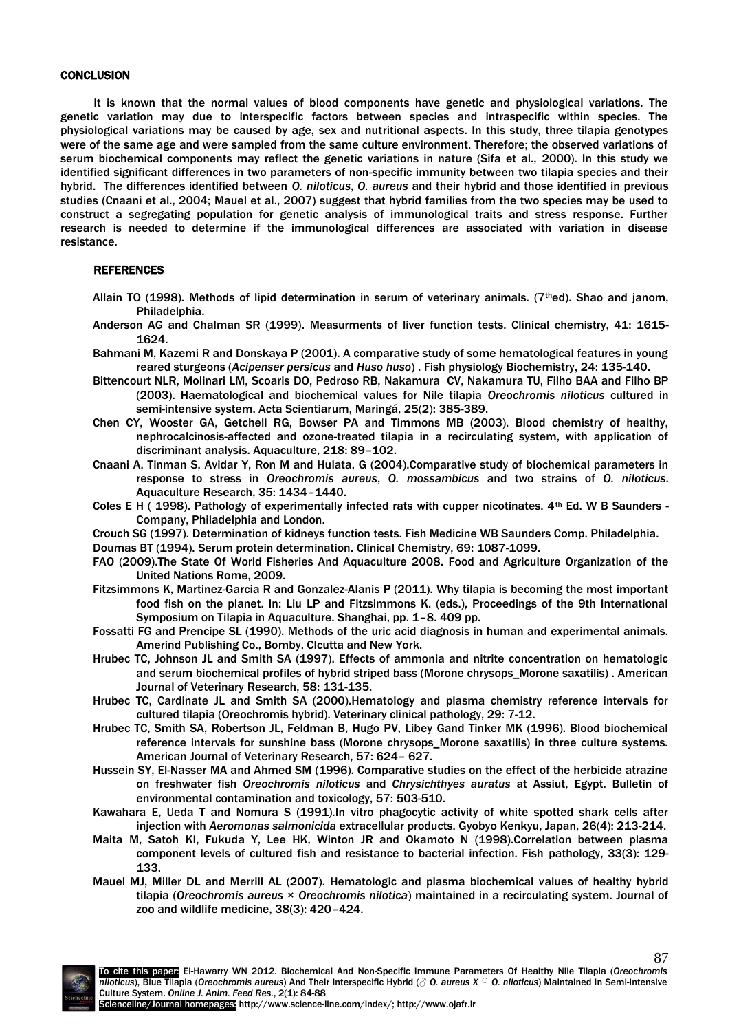### **CONCLUSION**

It is known that the normal values of blood components have genetic and physiological variations. The genetic variation may due to interspecific factors between species and intraspecific within species. The physiological variations may be caused by age, sex and nutritional aspects. In this study, three tilapia genotypes were of the same age and were sampled from the same culture environment. Therefore; the observed variations of serum biochemical components may reflect the genetic variations in nature (Sifa et al., 2000). In this study we identified significant differences in two parameters of non-specific immunity between two tilapia species and their hybrid. The differences identified between *O. niloticus*, *O. aureus* and their hybrid and those identified in previous studies (Cnaani et al., 2004; Mauel et al., 2007) suggest that hybrid families from the two species may be used to construct a segregating population for genetic analysis of immunological traits and stress response. Further research is needed to determine if the immunological differences are associated with variation in disease resistance.

# REFERENCES

- Allain TO (1998). Methods of lipid determination in serum of veterinary animals. ( $7<sup>th</sup>$ ed). Shao and janom, Philadelphia.
- Anderson AG and Chalman SR (1999). Measurments of liver function tests. Clinical chemistry, 41: 1615- 1624.
- Bahmani M, Kazemi R and Donskaya P (2001). A comparative study of some hematological features in young reared sturgeons (*Acipenser persicus* and *Huso huso*) . Fish physiology Biochemistry, 24: 135-140.
- Bittencourt NLR, Molinari LM, Scoaris DO, Pedroso RB, Nakamura CV, Nakamura TU, Filho BAA and Filho BP (2003). Haematological and biochemical values for Nile tilapia *Oreochromis niloticus* cultured in semi-intensive system. Acta Scientiarum, Maringá, 25(2): 385-389.
- Chen CY, Wooster GA, Getchell RG, Bowser PA and Timmons MB (2003). Blood chemistry of healthy, nephrocalcinosis-affected and ozone-treated tilapia in a recirculating system, with application of discriminant analysis. Aquaculture, 218: 89–102.
- Cnaani A, Tinman S, Avidar Y, Ron M and Hulata, G (2004).Comparative study of biochemical parameters in response to stress in *Oreochromis aureus*, *O. mossambicus* and two strains of *O. niloticus*. Aquaculture Research, 35: 1434–1440.
- Coles E H ( 1998). Pathology of experimentally infected rats with cupper nicotinates.  $4<sup>th</sup>$  Ed. W B Saunders -Company, Philadelphia and London.
- Crouch SG (1997). Determination of kidneys function tests. Fish Medicine WB Saunders Comp. Philadelphia.
- Doumas BT (1994). Serum protein determination. Clinical Chemistry, 69: 1087-1099.
- FAO (2009).The State Of World Fisheries And Aquaculture 2008. Food and Agriculture Organization of the United Nations Rome, 2009.
- Fitzsimmons K, Martinez-Garcia R and Gonzalez-Alanis P (2011). Why tilapia is becoming the most important food fish on the planet. In: Liu LP and Fitzsimmons K. (eds.), Proceedings of the 9th International Symposium on Tilapia in Aquaculture. Shanghai, pp. 1–8. 409 pp.
- Fossatti FG and Prencipe SL (1990). Methods of the uric acid diagnosis in human and experimental animals. Amerind Publishing Co., Bomby, Clcutta and New York.
- Hrubec TC, Johnson JL and Smith SA (1997). Effects of ammonia and nitrite concentration on hematologic and serum biochemical profiles of hybrid striped bass (Morone chrysops\_Morone saxatilis) . American Journal of Veterinary Research, 58: 131-135.
- Hrubec TC, Cardinate JL and Smith SA (2000).Hematology and plasma chemistry reference intervals for cultured tilapia (Oreochromis hybrid). Veterinary clinical pathology, 29: 7-12.
- Hrubec TC, Smith SA, Robertson JL, Feldman B, Hugo PV, Libey Gand Tinker MK (1996). Blood biochemical reference intervals for sunshine bass (Morone chrysops\_Morone saxatilis) in three culture systems. American Journal of Veterinary Research, 57: 624– 627.
- Hussein SY, El-Nasser MA and Ahmed SM (1996). Comparative studies on the effect of the herbicide atrazine on freshwater fish *Oreochromis niloticus* and *Chrysichthyes auratus* at Assiut, Egypt. Bulletin of environmental contamination and toxicology, 57: 503-510.
- Kawahara E, Ueda T and Nomura S (1991).In vitro phagocytic activity of white spotted shark cells after injection with *Aeromonas salmonicida* extracellular products. Gyobyo Kenkyu, Japan, 26(4): 213-214.
- Maita M, Satoh KI, Fukuda Y, Lee HK, Winton JR and Okamoto N (1998).Correlation between plasma component levels of cultured fish and resistance to bacterial infection. Fish pathology, 33(3): 129- 133.
- Mauel MJ, Miller DL and Merrill AL (2007). Hematologic and plasma biochemical values of healthy hybrid tilapia (*Oreochromis aureus* × *Oreochromis nilotica*) maintained in a recirculating system. Journal of zoo and wildlife medicine, 38(3): 420–424.